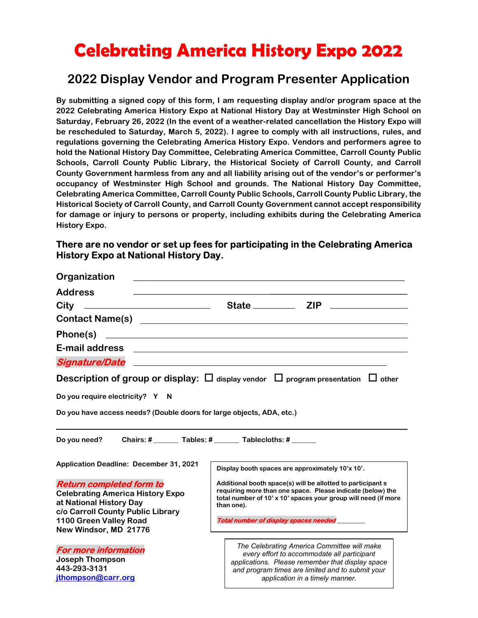# Celebrating America History Expo 2022

# 2022 Display Vendor and Program Presenter Application

By submitting a signed copy of this form, I am requesting display and/or program space at the 2022 Celebrating America History Expo at National History Day at Westminster High School on Saturday, February 26, 2022 (In the event of a weather-related cancellation the History Expo will be rescheduled to Saturday, March 5, 2022). I agree to comply with all instructions, rules, and regulations governing the Celebrating America History Expo. Vendors and performers agree to hold the National History Day Committee, Celebrating America Committee, Carroll County Public Schools, Carroll County Public Library, the Historical Society of Carroll County, and Carroll County Government harmless from any and all liability arising out of the vendor's or performer's occupancy of Westminster High School and grounds. The National History Day Committee, Celebrating America Committee, Carroll County Public Schools, Carroll County Public Library, the Historical Society of Carroll County, and Carroll County Government cannot accept responsibility for damage or injury to persons or property, including exhibits during the Celebrating America History Expo.

#### There are no vendor or set up fees for participating in the Celebrating America History Expo at National History Day.

| <u> 1980 - John Stone, amerikansk politiker (</u> † 1900)<br><u> 1989 - Johann Barn, fransk politik formuler (d. 1989)</u>                                                                                |
|-----------------------------------------------------------------------------------------------------------------------------------------------------------------------------------------------------------|
| <u>and the state of the state of the state of the state of the state of the state of the state of the state of th</u>                                                                                     |
| <b>Description of group or display:</b> $\Box$ display vendor $\Box$ program presentation $\Box$ other                                                                                                    |
|                                                                                                                                                                                                           |
| Do you have access needs? (Double doors for large objects, ADA, etc.)                                                                                                                                     |
| Do you need? Chairs: # _______ Tables: # ______ Tablecloths: # _____<br>Display booth spaces are approximately 10'x 10'.                                                                                  |
| Additional booth space(s) will be allotted to participant s<br>requiring more than one space. Please indicate (below) the<br>total number of 10' x 10' spaces your group will need (if more<br>than one). |
| Total number of display spaces needed                                                                                                                                                                     |
| The Celebrating America Committee will make<br>every effort to accommodate all participant<br>applications. Please remember that display space                                                            |
|                                                                                                                                                                                                           |